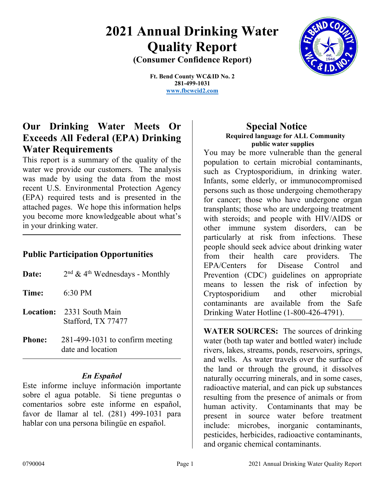# **2021 Annual Drinking Water Quality Report (Consumer Confidence Report)**



**Ft. Bend County WC&ID No. 2 281-499-1031**

**[www.fbcwcid2.com](http://www.fbcwcid2.com/)**

# **Our Drinking Water Meets Or Exceeds All Federal (EPA) Drinking Water Requirements**

This report is a summary of the quality of the water we provide our customers. The analysis was made by using the data from the most recent U.S. Environmental Protection Agency (EPA) required tests and is presented in the attached pages. We hope this information helps you become more knowledgeable about what's in your drinking water.

# **Public Participation Opportunities**

| Date:                          | $2nd$ & 4 <sup>th</sup> Wednesdays - Monthly           |
|--------------------------------|--------------------------------------------------------|
| <b>Time:</b> $6:30 \text{ PM}$ |                                                        |
|                                | <b>Location:</b> 2331 South Main<br>Stafford, TX 77477 |
| $D_{h\alpha m\alpha}$          | $201,400,1021$ to confirme most in $\alpha$            |

**Phone:** 281-499-1031 to confirm meeting date and location

# *En Español*

Este informe incluye información importante sobre el agua potable. Si tiene preguntas o comentarios sobre este informe en español, favor de llamar al tel. (281) 499-1031 para hablar con una persona bilingüe en español.

# **Special Notice Required language for ALL Community public water supplies**

You may be more vulnerable than the general population to certain microbial contaminants, such as Cryptosporidium, in drinking water. Infants, some elderly, or immunocompromised persons such as those undergoing chemotherapy for cancer; those who have undergone organ transplants; those who are undergoing treatment with steroids; and people with HIV/AIDS or other immune system disorders, can be particularly at risk from infections. These people should seek advice about drinking water from their health care providers. The EPA/Centers for Disease Control and Prevention (CDC) guidelines on appropriate means to lessen the risk of infection by Cryptosporidium and other microbial contaminants are available from the Safe Drinking Water Hotline (1-800-426-4791).

**WATER SOURCES:** The sources of drinking water (both tap water and bottled water) include rivers, lakes, streams, ponds, reservoirs, springs, and wells. As water travels over the surface of the land or through the ground, it dissolves naturally occurring minerals, and in some cases, radioactive material, and can pick up substances resulting from the presence of animals or from human activity. Contaminants that may be present in source water before treatment include: microbes, inorganic contaminants, pesticides, herbicides, radioactive contaminants, and organic chemical contaminants.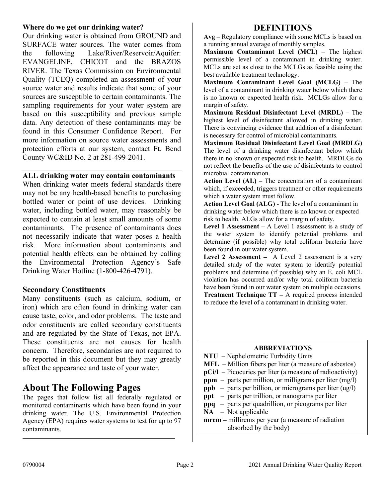### **Where do we get our drinking water?**

Our drinking water is obtained from GROUND and SURFACE water sources. The water comes from the following Lake/River/Reservoir/Aquifer: EVANGELINE, CHICOT and the BRAZOS RIVER. The Texas Commission on Environmental Quality (TCEQ) completed an assessment of your source water and results indicate that some of your sources are susceptible to certain contaminants. The sampling requirements for your water system are based on this susceptibility and previous sample data. Any detection of these contaminants may be found in this Consumer Confidence Report. For more information on source water assessments and protection efforts at our system, contact Ft. Bend County WC&ID No. 2 at 281-499-2041.

## **ALL drinking water may contain contaminants**

When drinking water meets federal standards there may not be any health-based benefits to purchasing bottled water or point of use devices. Drinking water, including bottled water, may reasonably be expected to contain at least small amounts of some contaminants. The presence of contaminants does not necessarily indicate that water poses a health risk. More information about contaminants and potential health effects can be obtained by calling the Environmental Protection Agency's Safe Drinking Water Hotline (1-800-426-4791).

## **Secondary Constituents**

Many constituents (such as calcium, sodium, or iron) which are often found in drinking water can cause taste, color, and odor problems. The taste and odor constituents are called secondary constituents and are regulated by the State of Texas, not EPA. These constituents are not causes for health concern. Therefore, secondaries are not required to be reported in this document but they may greatly affect the appearance and taste of your water.

# **About The Following Pages**

The pages that follow list all federally regulated or monitored contaminants which have been found in your drinking water. The U.S. Environmental Protection Agency (EPA) requires water systems to test for up to 97 contaminants.

# **DEFINITIONS**

**Avg** – Regulatory compliance with some MCLs is based on a running annual average of monthly samples.

**Maximum Contaminant Level (MCL)** – The highest permissible level of a contaminant in drinking water. MCLs are set as close to the MCLGs as feasible using the best available treatment technology.

**Maximum Contaminant Level Goal (MCLG)** – The level of a contaminant in drinking water below which there is no known or expected health risk. MCLGs allow for a margin of safety.

**Maximum Residual Disinfectant Level (MRDL) –** The highest level of disinfectant allowed in drinking water. There is convincing evidence that addition of a disinfectant is necessary for control of microbial contaminants.

**Maximum Residual Disinfectant Level Goal (MRDLG)** The level of a drinking water disinfectant below which there in no known or expected risk to health. MRDLGs do not reflect the benefits of the use of disinfectants to control microbial contamination.

**Action Level (AL)** – The concentration of a contaminant which, if exceeded, triggers treatment or other requirements which a water system must follow.

**Action Level Goal (ALG) -** The level of a contaminant in drinking water below which there is no known or expected risk to health. ALGs allow for a margin of safety.

**Level 1 Assessment –** A Level 1 assessment is a study of the water system to identify potential problems and determine (if possible) why total coliform bacteria have been found in our water system.

**Level 2 Assessment –** A Level 2 assessment is a very detailed study of the water system to identify potential problems and determine (if possible) why an E. coli MCL violation has occurred and/or why total coliform bacteria have been found in our water system on multiple occasions. **Treatment Technique TT –** A required process intended to reduce the level of a contaminant in drinking water.

### **ABBREVIATIONS**

- **NTU** Nephelometric Turbidity Units
- **MFL** Million fibers per liter (a measure of asbestos)
- **pCi/l** Picocuries per liter (a measure of radioactivity)
- **ppm** parts per million, or milligrams per liter (mg/l)
- **ppb**  parts per billion, or micrograms per liter (ug/l)
- **ppt**  parts per trillion, or nanograms per liter
- **ppq** parts per quadrillion, or picograms per liter
- **NA** Not applicable
- **mrem** millirems per year (a measure of radiation absorbed by the body)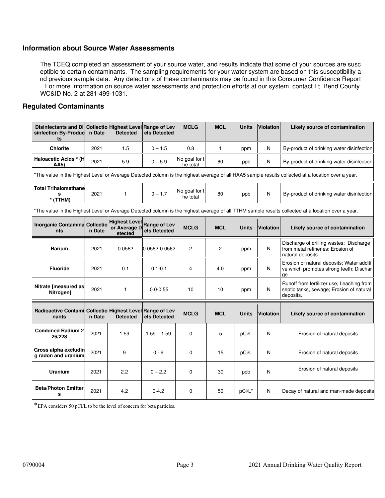### **Information about Source Water Assessments**

The TCEQ completed an assessment of your source water, and results indicate that some of your sources are susc eptible to certain contaminants. The sampling requirements for your water system are based on this susceptibility a nd previous sample data. Any detections of these contaminants may be found in this Consumer Confidence Report . For more information on source water assessments and protection efforts at our system, contact Ft. Bend County WC&ID No. 2 at 281-499-1031.

### **Regulated Contaminants**

| Disinfectants and Di Collectio Highest Level Range of Lev<br>sinfection By-Produc<br>ts                                                           | n Date | <b>Detected</b>                                 | els Detected                 | <b>MCLG</b>               | <b>MCL</b><br><b>Units</b> |              | <b>Violation</b> | Likely source of contamination                                                                                                                    |  |
|---------------------------------------------------------------------------------------------------------------------------------------------------|--------|-------------------------------------------------|------------------------------|---------------------------|----------------------------|--------------|------------------|---------------------------------------------------------------------------------------------------------------------------------------------------|--|
| <b>Chlorite</b>                                                                                                                                   | 2021   | 1.5                                             | $0 - 1.5$                    | 0.8                       | $\mathbf{1}$               | ppm          | N                | By-product of drinking water disinfection                                                                                                         |  |
| Haloacetic Acids * (H<br>AA5)                                                                                                                     | 2021   | 5.9                                             | $0 - 5.9$                    | No goal for t<br>he total | 60                         | ppb          | N                | By-product of drinking water disinfection                                                                                                         |  |
| *The value in the Highest Level or Average Detected column is the highest average of all HAA5 sample results collected at a location over a year. |        |                                                 |                              |                           |                            |              |                  |                                                                                                                                                   |  |
| <b>Total Trihalomethane</b><br>s<br>$*$ (TTHM)                                                                                                    | 2021   | $\mathbf{1}$                                    | $0 - 1.7$                    | No goal for t<br>he total | 80                         | ppb          | N                | By-product of drinking water disinfection                                                                                                         |  |
|                                                                                                                                                   |        |                                                 |                              |                           |                            |              |                  | *The value in the Highest Level or Average Detected column is the highest average of all TTHM sample results collected at a location over a year. |  |
| Inorganic Contamina Collectio<br>nts                                                                                                              | n Date | <b>Highest Level</b><br>or Average D<br>etected | Range of Lev<br>els Detected | <b>MCLG</b>               | <b>MCL</b>                 | <b>Units</b> | <b>Violation</b> | Likely source of contamination                                                                                                                    |  |
| <b>Barium</b>                                                                                                                                     | 2021   | 0.0562                                          | 0.0562-0.0562                | 2                         | $\overline{2}$             | ppm          | N                | Discharge of drilling wastes; Discharge<br>from metal refineries; Erosion of<br>natural deposits.                                                 |  |
| <b>Fluoride</b>                                                                                                                                   | 2021   | 0.1                                             | $0.1 - 0.1$                  | 4                         | 4.0                        | ppm          | N                | Erosion of natural deposits; Water additi<br>ve which promotes strong teeth; Dischar<br>qe                                                        |  |
| Nitrate [measured as<br>Nitrogen]                                                                                                                 | 2021   | 1                                               | $0.0 - 0.55$                 | 10                        | 10                         | ppm          | N                | Runoff from fertilizer use; Leaching from<br>septic tanks, sewage; Erosion of natural<br>deposits.                                                |  |
| Radioactive Contami Collectio Highest Level Range of Lev<br>nants                                                                                 | n Date | <b>Detected</b>                                 | els Detected                 | <b>MCLG</b>               | <b>MCL</b>                 | <b>Units</b> | <b>Violation</b> | Likely source of contamination                                                                                                                    |  |
| <b>Combined Radium 2</b><br>26/228                                                                                                                | 2021   | 1.59                                            | $1.59 - 1.59$                | 0                         | 5                          | pCi/L        | N                | Erosion of natural deposits                                                                                                                       |  |
| Gross alpha excludin<br>g radon and uranium                                                                                                       | 2021   | 9                                               | $0 - 9$                      | $\Omega$                  | 15                         | pCi/L        | N                | Erosion of natural deposits                                                                                                                       |  |
| <b>Uranium</b>                                                                                                                                    | 2021   | 2.2                                             | $0 - 2.2$                    | 0                         | 30                         | ppb          | N                | Erosion of natural deposits                                                                                                                       |  |
| <b>Beta/Photon Emitter</b><br>s                                                                                                                   | 2021   | 4.2                                             | $0 - 4.2$                    | $\Omega$                  | 50                         | pCi/L*       | N                | Decay of natural and man-made deposits                                                                                                            |  |

\*EPA considers 50 pCi/L to be the level of concern for beta particles.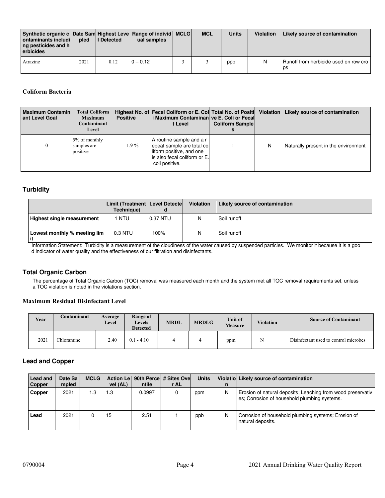| Synthetic organic c   Date Sam Highest Leve Range of individ   MCLG  <br>ontaminants includi<br>ng pesticides and h<br>erbicides | pled | <b>II</b> Detected | ual samples | <b>MCL</b> | <b>Units</b> | <b>Violation</b> | Likely source of contamination              |
|----------------------------------------------------------------------------------------------------------------------------------|------|--------------------|-------------|------------|--------------|------------------|---------------------------------------------|
| Atrazine                                                                                                                         | 2021 | 0.12               | $0 - 0.12$  |            | ppb          | N.               | Runoff from herbicide used on row cro<br>ps |

#### **Coliform Bacteria**

| <b>Maximum Contamin</b><br>ant Level Goal | <b>Total Coliform</b><br><b>Maximum</b><br>Contaminant<br>Level | <b>Positive</b> | i Maximum Contaminan  ve E. Coli or Fecal <br>t Level                                                                               | <b>Coliform Sample</b> |   | Highest No. of Fecal Coliform or E. Col Total No. of Positi Violation   Likely source of contamination |
|-------------------------------------------|-----------------------------------------------------------------|-----------------|-------------------------------------------------------------------------------------------------------------------------------------|------------------------|---|--------------------------------------------------------------------------------------------------------|
|                                           | 5% of monthly<br>samples are<br>positive                        | $1.9\%$         | A routine sample and a r<br>epeat sample are total co<br>liform positive, and one<br>is also fecal coliform or E.<br>coli positive. |                        | N | Naturally present in the environment                                                                   |

#### **Turbidity**

|                                      | <b>Limit (Treatment Level Detecte)</b><br>Technique) |          | <b>Violation</b> | Likely source of contamination |
|--------------------------------------|------------------------------------------------------|----------|------------------|--------------------------------|
| Highest single measurement           | i ntu                                                | 0.37 NTU | N                | Soil runoff                    |
| Lowest monthly % meeting lim<br>l it | $0.3$ NTU                                            | 100%     | N                | Soil runoff                    |

Information Statement: Turbidity is a measurement of the cloudiness of the water caused by suspended particles. We monitor it because it is a goo d indicator of water quality and the effectiveness of our filtration and disinfectants.

#### **Total Organic Carbon**

The percentage of Total Organic Carbon (TOC) removal was measured each month and the system met all TOC removal requirements set, unless a TOC violation is noted in the violations section.

#### **Maximum Residual Disinfectant Level**

| Year | Contaminant | Average<br>Level | Range of<br><b>Levels</b><br><b>Detected</b> | <b>MRDL</b> | <b>MRDLG</b> | <b>Unit of</b><br><b>Measure</b> | <b>Violation</b> | <b>Source of Contaminant</b>          |
|------|-------------|------------------|----------------------------------------------|-------------|--------------|----------------------------------|------------------|---------------------------------------|
| 2021 | hloramine   | 2.40             | $-4.10$<br>0.1                               |             |              | ppm                              | N                | Disinfectant used to control microbes |

#### **Lead and Copper**

| Lead and<br>Copper | Date Sa<br>mpled | <b>MCLG</b> | <b>Action Lel</b><br>vel (AL) | ntile  | 90th Perce # Sites Ovel<br>r AL | <b>Units</b> | n | Violatio Likely source of contamination                                                                     |
|--------------------|------------------|-------------|-------------------------------|--------|---------------------------------|--------------|---|-------------------------------------------------------------------------------------------------------------|
| Copper             | 2021             | 1.3         | 1.3                           | 0.0997 |                                 | ppm          | N | Erosion of natural deposits; Leaching from wood preservativ<br>es: Corrosion of household plumbing systems. |
| Lead               | 2021             |             | 15                            | 2.51   |                                 | ppb          | N | Corrosion of household plumbing systems; Erosion of<br>natural deposits.                                    |